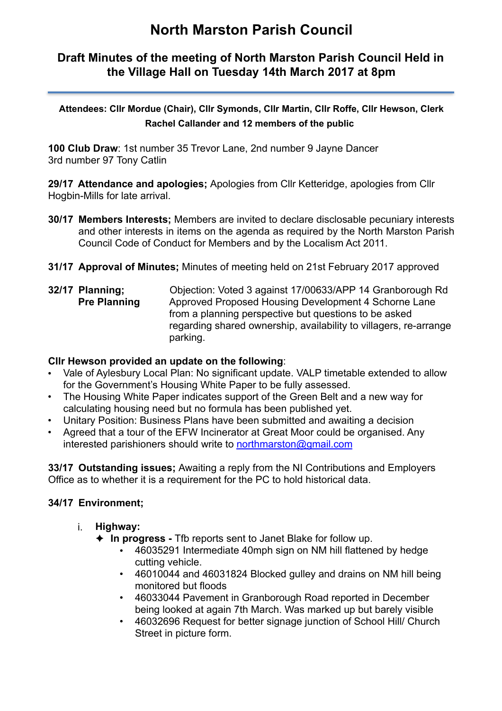# **North Marston Parish Council**

# **Draft Minutes of the meeting of North Marston Parish Council Held in the Village Hall on Tuesday 14th March 2017 at 8pm**

**Attendees: Cllr Mordue (Chair), Cllr Symonds, Cllr Martin, Cllr Roffe, Cllr Hewson, Clerk Rachel Callander and 12 members of the public** 

**100 Club Draw**: 1st number 35 Trevor Lane, 2nd number 9 Jayne Dancer 3rd number 97 Tony Catlin

**29/17 Attendance and apologies;** Apologies from Cllr Ketteridge, apologies from Cllr Hogbin-Mills for late arrival.

- **30/17 Members Interests;** Members are invited to declare disclosable pecuniary interests and other interests in items on the agenda as required by the North Marston Parish Council Code of Conduct for Members and by the Localism Act 2011.
- **31/17 Approval of Minutes;** Minutes of meeting held on 21st February 2017 approved
- **32/17 Planning;** Objection: Voted 3 against 17/00633/APP 14 Granborough Rd **Pre Planning** Approved Proposed Housing Development 4 Schorne Lane from a planning perspective but questions to be asked regarding shared ownership, availability to villagers, re-arrange parking.

#### **Cllr Hewson provided an update on the following**:

- Vale of Aylesbury Local Plan: No significant update. VALP timetable extended to allow for the Government's Housing White Paper to be fully assessed.
- The Housing White Paper indicates support of the Green Belt and a new way for calculating housing need but no formula has been published yet.
- Unitary Position: Business Plans have been submitted and awaiting a decision
- Agreed that a tour of the EFW Incinerator at Great Moor could be organised. Any interested parishioners should write to [northmarston@gmail.com](mailto:northmarston@gmail.com)

**33/17 Outstanding issues;** Awaiting a reply from the NI Contributions and Employers Office as to whether it is a requirement for the PC to hold historical data.

# **34/17 Environment;**

- i. **Highway:** 
	- ✦ **In progress** Tfb reports sent to Janet Blake for follow up.
		- 46035291 Intermediate 40mph sign on NM hill flattened by hedge cutting vehicle.
		- 46010044 and 46031824 Blocked gulley and drains on NM hill being monitored but floods
		- 46033044 Pavement in Granborough Road reported in December being looked at again 7th March. Was marked up but barely visible
		- 46032696 Request for better signage junction of School Hill/ Church Street in picture form.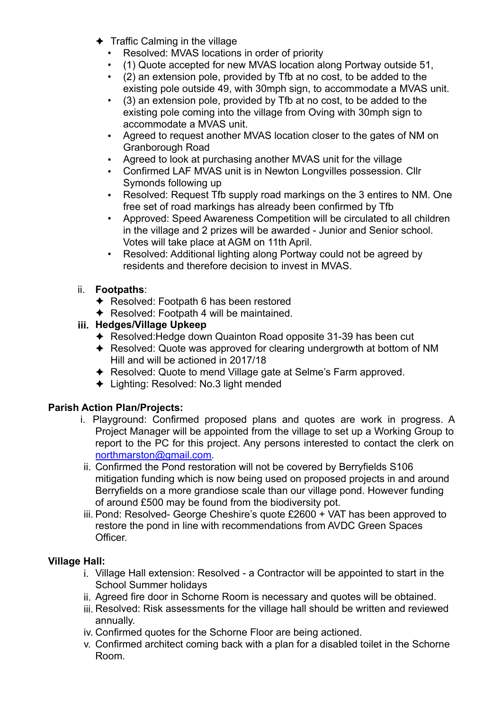- $\triangleleft$  Traffic Calming in the village
	- Resolved: MVAS locations in order of priority
	- (1) Quote accepted for new MVAS location along Portway outside 51,
	- (2) an extension pole, provided by Tfb at no cost, to be added to the existing pole outside 49, with 30mph sign, to accommodate a MVAS unit.
	- (3) an extension pole, provided by Tfb at no cost, to be added to the existing pole coming into the village from Oving with 30mph sign to accommodate a MVAS unit.
	- Agreed to request another MVAS location closer to the gates of NM on Granborough Road
	- Agreed to look at purchasing another MVAS unit for the village
	- Confirmed LAF MVAS unit is in Newton Longvilles possession. Cllr Symonds following up
	- Resolved: Request Tfb supply road markings on the 3 entires to NM. One free set of road markings has already been confirmed by Tfb
	- Approved: Speed Awareness Competition will be circulated to all children in the village and 2 prizes will be awarded - Junior and Senior school. Votes will take place at AGM on 11th April.
	- Resolved: Additional lighting along Portway could not be agreed by residents and therefore decision to invest in MVAS.

# ii. **Footpaths**:

- ✦ Resolved: Footpath 6 has been restored
- ✦ Resolved: Footpath 4 will be maintained.

# **iii. Hedges/Village Upkeep**

- ✦ Resolved:Hedge down Quainton Road opposite 31-39 has been cut
- ✦ Resolved: Quote was approved for clearing undergrowth at bottom of NM Hill and will be actioned in 2017/18
- ✦ Resolved: Quote to mend Village gate at Selme's Farm approved.
- ✦ Lighting: Resolved: No.3 light mended

# **Parish Action Plan/Projects:**

- i. Playground: Confirmed proposed plans and quotes are work in progress. A Project Manager will be appointed from the village to set up a Working Group to report to the PC for this project. Any persons interested to contact the clerk on [northmarston@gmail.com.](mailto:northmarston@gmail.com)
- ii. Confirmed the Pond restoration will not be covered by Berryfields S106 mitigation funding which is now being used on proposed projects in and around Berryfields on a more grandiose scale than our village pond. However funding of around £500 may be found from the biodiversity pot.
- iii. Pond: Resolved- George Cheshire's quote £2600 + VAT has been approved to restore the pond in line with recommendations from AVDC Green Spaces Officer.

# **Village Hall:**

- i. Village Hall extension: Resolved a Contractor will be appointed to start in the School Summer holidays
- ii. Agreed fire door in Schorne Room is necessary and quotes will be obtained.
- iii. Resolved: Risk assessments for the village hall should be written and reviewed annually.
- iv. Confirmed quotes for the Schorne Floor are being actioned.
- v. Confirmed architect coming back with a plan for a disabled toilet in the Schorne Room.